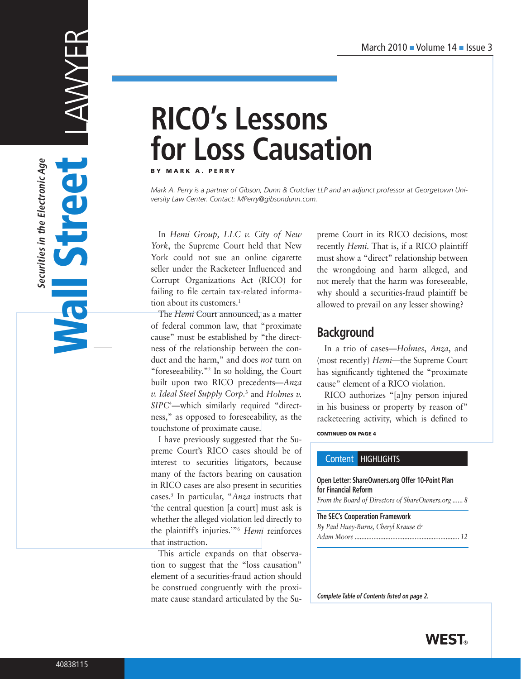# **RICO's Lessons for Loss Causation**

BY MARK A. PERRY

*Mark A. Perry is a partner of Gibson, Dunn & Crutcher LLP and an adjunct professor at Georgetown University Law Center. Contact: MPerry@gibsondunn.com.*

In *Hemi Group, LLC v. City of New York*, the Supreme Court held that New York could not sue an online cigarette seller under the Racketeer Influenced and Corrupt Organizations Act (RICO) for failing to file certain tax-related information about its customers.<sup>1</sup>

The *Hemi* Court announced, as a matter of federal common law, that "proximate cause" must be established by "the directness of the relationship between the conduct and the harm," and does *not* turn on "foreseeability."2 In so holding, the Court built upon two RICO precedents—*Anza v. Ideal Steel Supply Corp.*<sup>3</sup> and *Holmes v. SIPC*<sup>4</sup> —which similarly required "directness," as opposed to foreseeability, as the touchstone of proximate cause.

I have previously suggested that the Supreme Court's RICO cases should be of interest to securities litigators, because many of the factors bearing on causation in RICO cases are also present in securities cases.5 In particular, "*Anza* instructs that 'the central question [a court] must ask is whether the alleged violation led directly to the plaintiff's injuries.'"6 *Hemi* reinforces that instruction.

This article expands on that observation to suggest that the "loss causation" element of a securities-fraud action should be construed congruently with the proximate cause standard articulated by the Supreme Court in its RICO decisions, most recently *Hemi*. That is, if a RICO plaintiff must show a "direct" relationship between the wrongdoing and harm alleged, and not merely that the harm was foreseeable, why should a securities-fraud plaintiff be allowed to prevail on any lesser showing?

# **Background**

In a trio of cases—*Holmes*, *Anza*, and (most recently) *Hemi*—the Supreme Court has significantly tightened the "proximate cause" element of a RICO violation.

RICO authorizes "[a]ny person injured in his business or property by reason of" racketeering activity, which is defined to

CONTINUED ON PAGE 4

## Content HIGHLIGHTS

### **Open Letter: ShareOwners.org Offer 10-Point Plan for Financial Reform**

*From the Board of Directors of ShareOwners.org ...... 8*

**The SEC's Cooperation Framework** *By Paul Huey-Burns, Cheryl Krause & Adam Moore ............................................................. 12*

**Complete Table of Contents listed on page 2.**



Street LAWFR

Wall Street

**Vall** 

**Securities in the Electronic Age**

Securities in the Electronic Age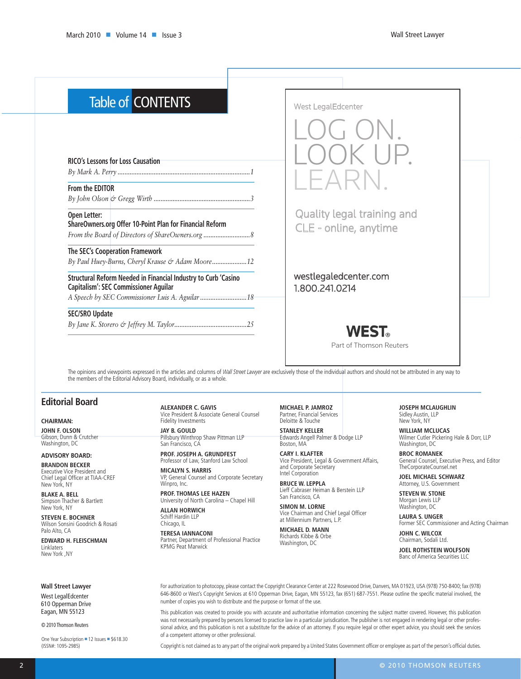| <b>Table of CONTENTS</b>                                                                                       | <b>West LegalEdcenter</b>                           |  |
|----------------------------------------------------------------------------------------------------------------|-----------------------------------------------------|--|
|                                                                                                                |                                                     |  |
| <b>RICO's Lessons for Loss Causation</b>                                                                       |                                                     |  |
| From the EDITOR                                                                                                | $ \triangle$ $\perp$                                |  |
|                                                                                                                |                                                     |  |
| Open Letter:<br>ShareOwners.org Offer 10-Point Plan for Financial Reform                                       | Quality legal training and<br>CLE - online, anytime |  |
| The SEC's Cooperation Framework<br>By Paul Huey-Burns, Cheryl Krause & Adam Moore12                            |                                                     |  |
| Structural Reform Needed in Financial Industry to Curb 'Casino<br><b>Capitalism': SEC Commissioner Aguilar</b> | westlegaledcenter.com<br>1.800.241.0214             |  |
| <b>SEC/SRO Update</b>                                                                                          |                                                     |  |
|                                                                                                                | <b>WEST.</b><br>Part of Thomson Reuters             |  |

The opinions and viewpoints expressed in the articles and columns of *Wall Street Lawyer* are exclusively those of the individual authors and should not be attributed in any way to the members of the Editorial Advisory Board, individually, or as a whole.

## **Editorial Board**

#### **CHAIRMAN:**

**John F. Olson** Gibson, Dunn & Crutcher Washington, DC

## **ADVISORY BOARD:**

**Brandon Becker** Executive Vice President and Chief Legal Officer at TIAA-CREF New York, NY

**Blake A. Bell** Simpson Thacher & Bartlett New York, NY

**Steven E. Bochner** Wilson Sonsini Goodrich & Rosati Palo Alto, CA

**Edward H. Fleischman** Linklaters New York ,NY

#### **Wall Street Lawyer**

West LegalEdcenter 610 Opperman Drive Eagan, MN 55123

© 2010 Thomson Reuters

One Year Subscription = 12 Issues = \$618.30 (ISSN#: 1095-2985)

#### **Alexander C. Gavis** Vice President & Associate General Counsel

Fidelity Investments **Jay B. Gould** Pillsbury Winthrop Shaw Pittman LLP San Francisco, CA

**PROF. Joseph A. Grundfest** Professor of Law, Stanford Law School

**Micalyn S. Harris** VP, General Counsel and Corporate Secretary Winpro, Inc.

**Prof. Thomas Lee Hazen** University of North Carolina – Chapel Hill **Allan Horwich**

Schiff Hardin LLP Chicago, IL

**Teresa Iannaconi** Partner, Department of Professional Practice KPMG Peat Marwick

**Michael P. Jamroz** Partner, Financial Services Deloitte & Touche

**Stanley Keller** Edwards Angell Palmer & Dodge LLP Boston, MA

**Cary I. KlaftEr** Vice President, Legal & Government Affairs, and Corporate Secretary Intel Corporation

**Bruce W. Leppla** Lieff Cabraser Heiman & Berstein LLP San Francisco, CA

**Simon M. Lorne** Vice Chairman and Chief Legal Officer at Millennium Partners, L.P.

**Michael D. Mann** Richards Kibbe & Orbe Washington, DC

#### **Joseph McLaughlin** Sidley Austin, LLP

New York, NY

**William McLucas** Wilmer Cutler Pickering Hale & Dorr, LLP Washington, DC

**Broc Romanek** General Counsel, Executive Press, and Editor TheCorporateCounsel.net

**Joel Michael Schwarz** Attorney, U.S. Government

**Steven W. Stone** Morgan Lewis LLP Washington, DC

**Laura S. Unger** Former SEC Commissioner and Acting Chairman

**John C. Wilcox** Chairman, Sodali Ltd.

**Joel Rothstein Wolfson** Banc of America Securities LLC

For authorization to photocopy, please contact the Copyright Clearance Center at 222 Rosewood Drive, Danvers, MA 01923, USA (978) 750-8400; fax (978) 646-8600 or West's Copyright Services at 610 Opperman Drive, Eagan, MN 55123, fax (651) 687-7551. Please outline the specific material involved, the number of copies you wish to distribute and the purpose or format of the use.

This publication was created to provide you with accurate and authoritative information concerning the subject matter covered. However, this publication was not necessarily prepared by persons licensed to practice law in a particular jurisdication. The publisher is not engaged in rendering legal or other professional advice, and this publication is not a substitute for the advice of an attorney. If you require legal or other expert advice, you should seek the services of a competent attorney or other professional.

Copyright is not claimed as to any part of the original work prepared by a United States Government officer or employee as part of the person's official duties.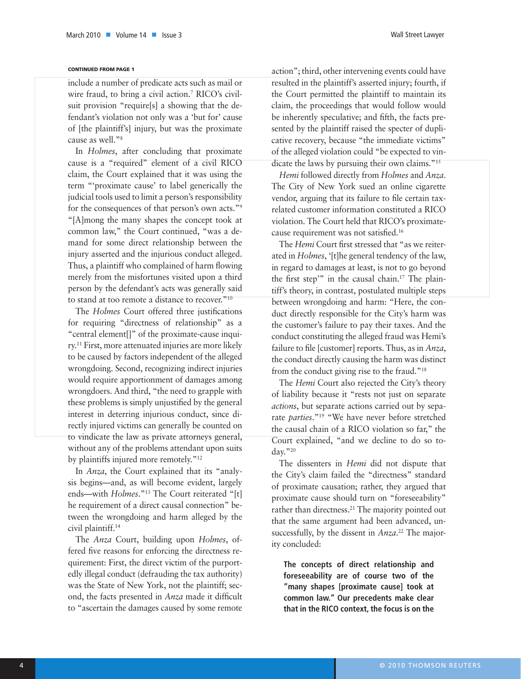#### CONTINUED FROM PAGE 1

include a number of predicate acts such as mail or wire fraud, to bring a civil action.7 RICO's civilsuit provision "require[s] a showing that the defendant's violation not only was a 'but for' cause of [the plaintiff's] injury, but was the proximate cause as well."8

In *Holmes*, after concluding that proximate cause is a "required" element of a civil RICO claim, the Court explained that it was using the term "'proximate cause' to label generically the judicial tools used to limit a person's responsibility for the consequences of that person's own acts."9 "[A]mong the many shapes the concept took at common law," the Court continued, "was a demand for some direct relationship between the injury asserted and the injurious conduct alleged. Thus, a plaintiff who complained of harm flowing merely from the misfortunes visited upon a third person by the defendant's acts was generally said to stand at too remote a distance to recover."10

The *Holmes* Court offered three justifications for requiring "directness of relationship" as a "central element[]" of the proximate-cause inquiry.11 First, more attenuated injuries are more likely to be caused by factors independent of the alleged wrongdoing. Second, recognizing indirect injuries would require apportionment of damages among wrongdoers. And third, "the need to grapple with these problems is simply unjustified by the general interest in deterring injurious conduct, since directly injured victims can generally be counted on to vindicate the law as private attorneys general, without any of the problems attendant upon suits by plaintiffs injured more remotely."<sup>12</sup>

In *Anza*, the Court explained that its "analysis begins—and, as will become evident, largely ends—with *Holmes*."13 The Court reiterated "[t] he requirement of a direct causal connection" between the wrongdoing and harm alleged by the civil plaintiff.14

The *Anza* Court, building upon *Holmes*, offered five reasons for enforcing the directness requirement: First, the direct victim of the purportedly illegal conduct (defrauding the tax authority) was the State of New York, not the plaintiff; second, the facts presented in *Anza* made it difficult to "ascertain the damages caused by some remote action"; third, other intervening events could have resulted in the plaintiff's asserted injury; fourth, if the Court permitted the plaintiff to maintain its claim, the proceedings that would follow would be inherently speculative; and fifth, the facts presented by the plaintiff raised the specter of duplicative recovery, because "the immediate victims" of the alleged violation could "be expected to vindicate the laws by pursuing their own claims."15

*Hemi* followed directly from *Holmes* and *Anza*. The City of New York sued an online cigarette vendor, arguing that its failure to file certain taxrelated customer information constituted a RICO violation. The Court held that RICO's proximatecause requirement was not satisfied.16

The *Hemi* Court first stressed that "as we reiterated in *Holmes*, '[t]he general tendency of the law, in regard to damages at least, is not to go beyond the first step'" in the causal chain.17 The plaintiff's theory, in contrast, postulated multiple steps between wrongdoing and harm: "Here, the conduct directly responsible for the City's harm was the customer's failure to pay their taxes. And the conduct constituting the alleged fraud was Hemi's failure to file [customer] reports. Thus, as in *Anza*, the conduct directly causing the harm was distinct from the conduct giving rise to the fraud."18

The *Hemi* Court also rejected the City's theory of liability because it "rests not just on separate *actions*, but separate actions carried out by separate *parties*."19 "We have never before stretched the causal chain of a RICO violation so far," the Court explained, "and we decline to do so today."20

The dissenters in *Hemi* did not dispute that the City's claim failed the "directness" standard of proximate causation; rather, they argued that proximate cause should turn on "foreseeability" rather than directness.<sup>21</sup> The majority pointed out that the same argument had been advanced, unsuccessfully, by the dissent in *Anza*. 22 The majority concluded:

**The concepts of direct relationship and foreseeability are of course two of the "many shapes [proximate cause] took at common law." Our precedents make clear that in the RICO context, the focus is on the**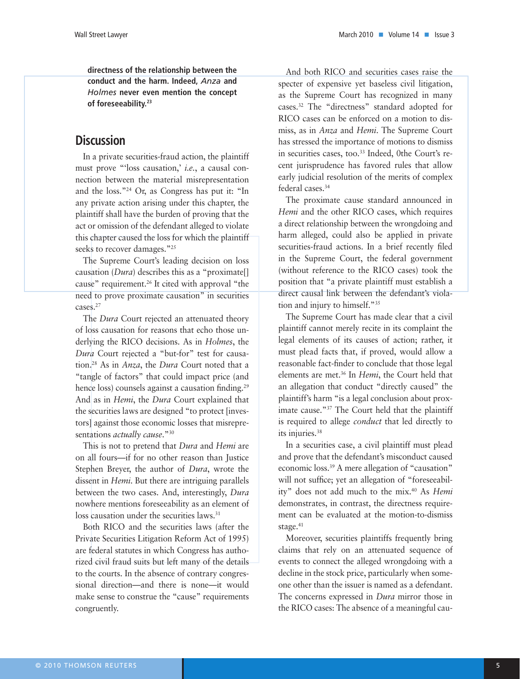**directness of the relationship between the conduct and the harm. Indeed,** *Anza* **and**  *Holmes* **never even mention the concept of foreseeability.23**

## **Discussion**

In a private securities-fraud action, the plaintiff must prove "'loss causation,' *i.e.*, a causal connection between the material misrepresentation and the loss."24 Or, as Congress has put it: "In any private action arising under this chapter, the plaintiff shall have the burden of proving that the act or omission of the defendant alleged to violate this chapter caused the loss for which the plaintiff seeks to recover damages."<sup>25</sup>

The Supreme Court's leading decision on loss causation (*Dura*) describes this as a "proximate[] cause" requirement.26 It cited with approval "the need to prove proximate causation" in securities cases.27

The *Dura* Court rejected an attenuated theory of loss causation for reasons that echo those underlying the RICO decisions. As in *Holmes*, the *Dura* Court rejected a "but-for" test for causation.28 As in *Anza*, the *Dura* Court noted that a "tangle of factors" that could impact price (and hence loss) counsels against a causation finding.<sup>29</sup> And as in *Hemi*, the *Dura* Court explained that the securities laws are designed "to protect [investors] against those economic losses that misrepresentations *actually cause*."30

This is not to pretend that *Dura* and *Hemi* are on all fours—if for no other reason than Justice Stephen Breyer, the author of *Dura*, wrote the dissent in *Hemi*. But there are intriguing parallels between the two cases. And, interestingly, *Dura* nowhere mentions foreseeability as an element of loss causation under the securities laws.<sup>31</sup>

Both RICO and the securities laws (after the Private Securities Litigation Reform Act of 1995) are federal statutes in which Congress has authorized civil fraud suits but left many of the details to the courts. In the absence of contrary congressional direction—and there is none—it would make sense to construe the "cause" requirements congruently.

And both RICO and securities cases raise the specter of expensive yet baseless civil litigation, as the Supreme Court has recognized in many cases.32 The "directness" standard adopted for RICO cases can be enforced on a motion to dismiss, as in *Anza* and *Hemi*. The Supreme Court has stressed the importance of motions to dismiss in securities cases, too.<sup>33</sup> Indeed, 0the Court's recent jurisprudence has favored rules that allow early judicial resolution of the merits of complex federal cases.34

The proximate cause standard announced in *Hemi* and the other RICO cases, which requires a direct relationship between the wrongdoing and harm alleged, could also be applied in private securities-fraud actions. In a brief recently filed in the Supreme Court, the federal government (without reference to the RICO cases) took the position that "a private plaintiff must establish a direct causal link between the defendant's violation and injury to himself."35

The Supreme Court has made clear that a civil plaintiff cannot merely recite in its complaint the legal elements of its causes of action; rather, it must plead facts that, if proved, would allow a reasonable fact-finder to conclude that those legal elements are met.36 In *Hemi*, the Court held that an allegation that conduct "directly caused" the plaintiff's harm "is a legal conclusion about proximate cause."37 The Court held that the plaintiff is required to allege *conduct* that led directly to its injuries.38

In a securities case, a civil plaintiff must plead and prove that the defendant's misconduct caused economic loss.39 A mere allegation of "causation" will not suffice; yet an allegation of "foreseeability" does not add much to the mix.40 As *Hemi* demonstrates, in contrast, the directness requirement can be evaluated at the motion-to-dismiss stage.<sup>41</sup>

Moreover, securities plaintiffs frequently bring claims that rely on an attenuated sequence of events to connect the alleged wrongdoing with a decline in the stock price, particularly when someone other than the issuer is named as a defendant. The concerns expressed in *Dura* mirror those in the RICO cases: The absence of a meaningful cau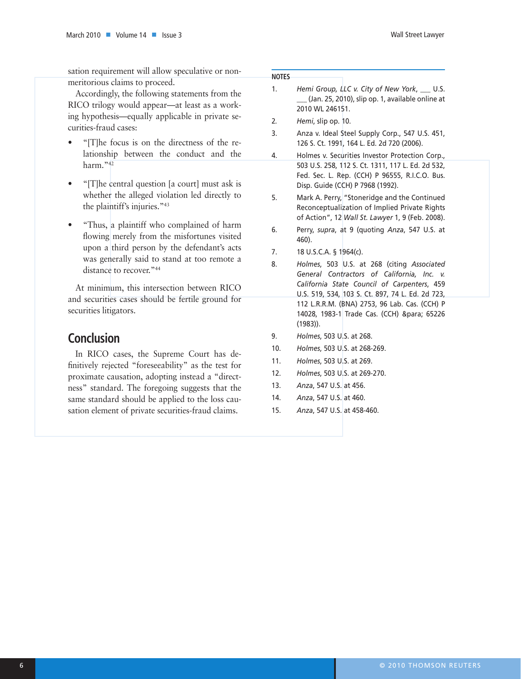sation requirement will allow speculative or nonmeritorious claims to proceed.

Accordingly, the following statements from the RICO trilogy would appear—at least as a working hypothesis—equally applicable in private securities-fraud cases:

- "[T]he focus is on the directness of the relationship between the conduct and the harm."<sup>42</sup>
- "[T]he central question [a court] must ask is whether the alleged violation led directly to the plaintiff's injuries."43
- "Thus, a plaintiff who complained of harm flowing merely from the misfortunes visited upon a third person by the defendant's acts was generally said to stand at too remote a distance to recover."<sup>44</sup>

At minimum, this intersection between RICO and securities cases should be fertile ground for securities litigators.

# **Conclusion**

In RICO cases, the Supreme Court has definitively rejected "foreseeability" as the test for proximate causation, adopting instead a "directness" standard. The foregoing suggests that the same standard should be applied to the loss causation element of private securities-fraud claims.

## **Notes**

- 1. *Hemi Group, LLC v. City of New York*, \_\_\_ U.S. \_\_\_ (Jan. 25, 2010), slip op. 1, available online at 2010 WL 246151.
- 2*. Hemi*, slip op. 10.
- 3. Anza v. Ideal Steel Supply Corp., 547 U.S. 451, 126 S. Ct. 1991, 164 L. Ed. 2d 720 (2006).
- 4. Holmes v. Securities Investor Protection Corp., 503 U.S. 258, 112 S. Ct. 1311, 117 L. Ed. 2d 532, Fed. Sec. L. Rep. (CCH) P 96555, R.I.C.O. Bus. Disp. Guide (CCH) P 7968 (1992).
- 5. Mark A. Perry, "Stoneridge and the Continued Reconceptualization of Implied Private Rights of Action", 12 *Wall St. Lawyer* 1, 9 (Feb. 2008).
- 6. Perry, *supra*, at 9 (quoting *Anza*, 547 U.S. at 460).
- 7. 18 U.S.C.A. § 1964(c).
- 8. *Holmes*, 503 U.S. at 268 (citing *Associated General Contractors of California, Inc. v. California State Council of Carpenters*, 459 U.S. 519, 534, 103 S. Ct. 897, 74 L. Ed. 2d 723, 112 L.R.R.M. (BNA) 2753, 96 Lab. Cas. (CCH) P 14028, 1983-1 Trade Cas. (CCH) ¶ 65226 (1983)).
- 9. *Holmes*, 503 U.S. at 268.
- 10. *Holmes*, 503 U.S. at 268-269.
- 11. *Holmes*, 503 U.S. at 269.
- 12. *Holmes*, 503 U.S. at 269-270.
- 13. *Anza*, 547 U.S. at 456.
- 14. *Anza*, 547 U.S. at 460.
- 15. *Anza*, 547 U.S. at 458-460.

Wall Street Lawyer